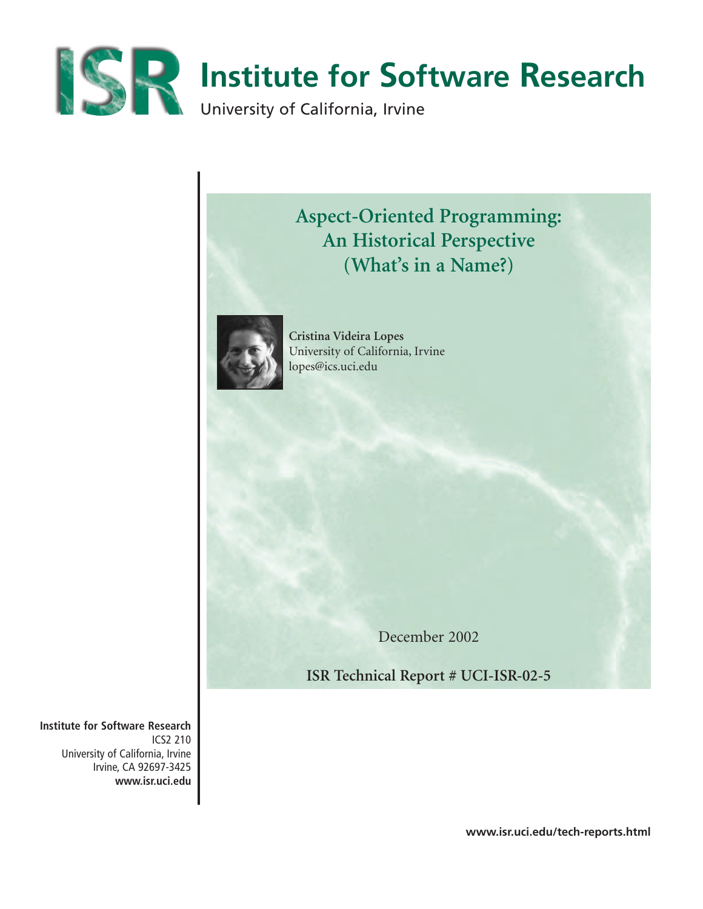

# **Aspect-Oriented Programming: An Historical Perspective (What's in a Name?)**



**Cristina Videira Lopes** University of California, Irvine lopes@ics.uci.edu

December 2002

**ISR Technical Report # UCI-ISR-02-5**

**Institute for Software Research** ICS2 210 University of California, Irvine Irvine, CA 92697-3425 **www.isr.uci.edu**

**www.isr.uci.edu/tech-reports.html**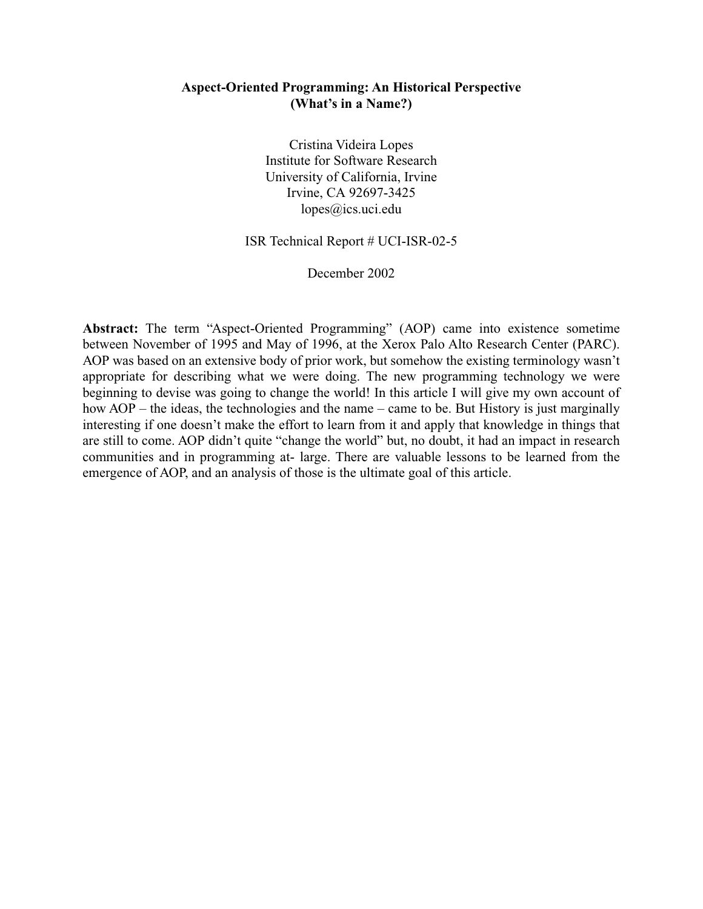#### **Aspect-Oriented Programming: An Historical Perspective (What's in a Name?)**

Cristina Videira Lopes Institute for Software Research University of California, Irvine Irvine, CA 92697-3425 lopes@ics.uci.edu

#### ISR Technical Report # UCI-ISR-02-5

December 2002

**Abstract:** The term "Aspect-Oriented Programming" (AOP) came into existence sometime between November of 1995 and May of 1996, at the Xerox Palo Alto Research Center (PARC). AOP was based on an extensive body of prior work, but somehow the existing terminology wasn't appropriate for describing what we were doing. The new programming technology we were beginning to devise was going to change the world! In this article I will give my own account of how AOP – the ideas, the technologies and the name – came to be. But History is just marginally interesting if one doesn't make the effort to learn from it and apply that knowledge in things that are still to come. AOP didn't quite "change the world" but, no doubt, it had an impact in research communities and in programming at- large. There are valuable lessons to be learned from the emergence of AOP, and an analysis of those is the ultimate goal of this article.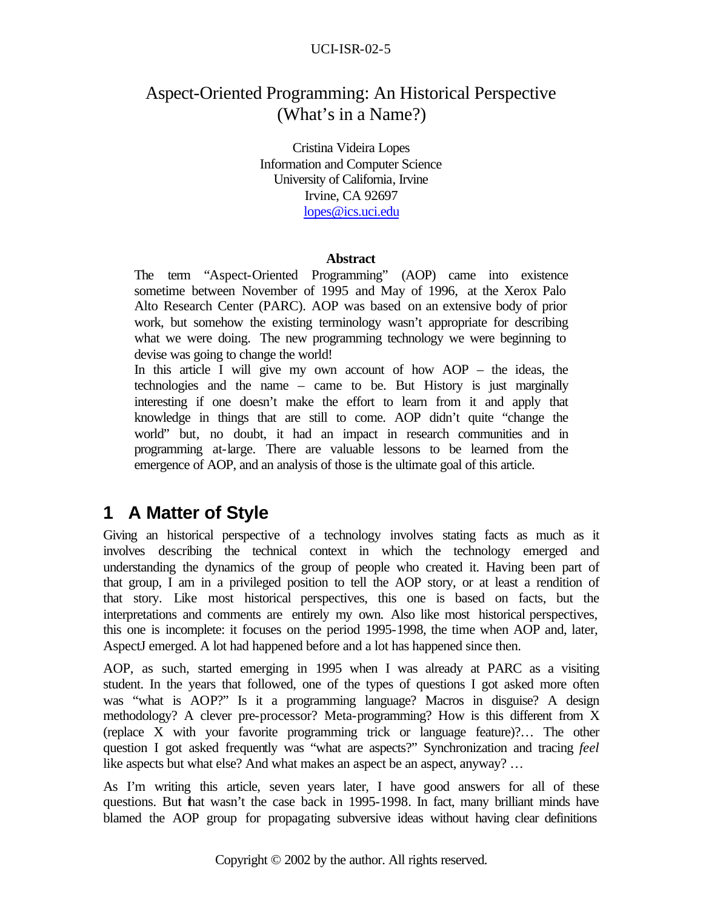### Aspect-Oriented Programming: An Historical Perspective (What's in a Name?)

Cristina Videira Lopes Information and Computer Science University of California, Irvine Irvine, CA 92697 lopes@ics.uci.edu

#### **Abstract**

The term "Aspect-Oriented Programming" (AOP) came into existence sometime between November of 1995 and May of 1996, at the Xerox Palo Alto Research Center (PARC). AOP was based on an extensive body of prior work, but somehow the existing terminology wasn't appropriate for describing what we were doing. The new programming technology we were beginning to devise was going to change the world!

In this article I will give my own account of how  $AOP -$  the ideas, the technologies and the name – came to be. But History is just marginally interesting if one doesn't make the effort to learn from it and apply that knowledge in things that are still to come. AOP didn't quite "change the world" but, no doubt, it had an impact in research communities and in programming at-large. There are valuable lessons to be learned from the emergence of AOP, and an analysis of those is the ultimate goal of this article.

## **1 A Matter of Style**

Giving an historical perspective of a technology involves stating facts as much as it involves describing the technical context in which the technology emerged and understanding the dynamics of the group of people who created it. Having been part of that group, I am in a privileged position to tell the AOP story, or at least a rendition of that story. Like most historical perspectives, this one is based on facts, but the interpretations and comments are entirely my own. Also like most historical perspectives, this one is incomplete: it focuses on the period 1995-1998, the time when AOP and, later, AspectJ emerged. A lot had happened before and a lot has happened since then.

AOP, as such, started emerging in 1995 when I was already at PARC as a visiting student. In the years that followed, one of the types of questions I got asked more often was "what is AOP?" Is it a programming language? Macros in disguise? A design methodology? A clever pre-processor? Meta-programming? How is this different from X (replace X with your favorite programming trick or language feature)?… The other question I got asked frequently was "what are aspects?" Synchronization and tracing *feel* like aspects but what else? And what makes an aspect be an aspect, anyway? …

As I'm writing this article, seven years later, I have good answers for all of these questions. But that wasn't the case back in 1995-1998. In fact, many brilliant minds have blamed the AOP group for propagating subversive ideas without having clear definitions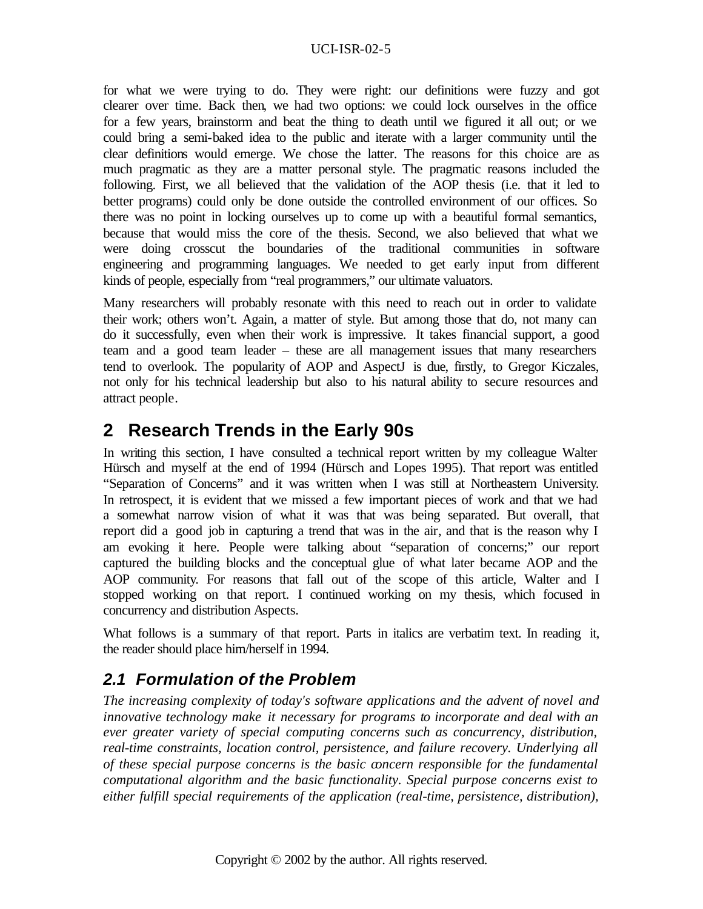for what we were trying to do. They were right: our definitions were fuzzy and got clearer over time. Back then, we had two options: we could lock ourselves in the office for a few years, brainstorm and beat the thing to death until we figured it all out; or we could bring a semi-baked idea to the public and iterate with a larger community until the clear definitions would emerge. We chose the latter. The reasons for this choice are as much pragmatic as they are a matter personal style. The pragmatic reasons included the following. First, we all believed that the validation of the AOP thesis (i.e. that it led to better programs) could only be done outside the controlled environment of our offices. So there was no point in locking ourselves up to come up with a beautiful formal semantics, because that would miss the core of the thesis. Second, we also believed that what we were doing crosscut the boundaries of the traditional communities in software engineering and programming languages. We needed to get early input from different kinds of people, especially from "real programmers," our ultimate valuators.

Many researchers will probably resonate with this need to reach out in order to validate their work; others won't. Again, a matter of style. But among those that do, not many can do it successfully, even when their work is impressive. It takes financial support, a good team and a good team leader – these are all management issues that many researchers tend to overlook. The popularity of AOP and AspectJ is due, firstly, to Gregor Kiczales, not only for his technical leadership but also to his natural ability to secure resources and attract people.

## **2 Research Trends in the Early 90s**

In writing this section, I have consulted a technical report written by my colleague Walter Hürsch and myself at the end of 1994 (Hürsch and Lopes 1995). That report was entitled "Separation of Concerns" and it was written when I was still at Northeastern University. In retrospect, it is evident that we missed a few important pieces of work and that we had a somewhat narrow vision of what it was that was being separated. But overall, that report did a good job in capturing a trend that was in the air, and that is the reason why I am evoking it here. People were talking about "separation of concerns;" our report captured the building blocks and the conceptual glue of what later became AOP and the AOP community. For reasons that fall out of the scope of this article, Walter and I stopped working on that report. I continued working on my thesis, which focused in concurrency and distribution Aspects.

What follows is a summary of that report. Parts in italics are verbatim text. In reading it, the reader should place him/herself in 1994.

### *2.1 Formulation of the Problem*

*The increasing complexity of today's software applications and the advent of novel and innovative technology make it necessary for programs to incorporate and deal with an ever greater variety of special computing concerns such as concurrency, distribution, real-time constraints, location control, persistence, and failure recovery. Underlying all of these special purpose concerns is the basic concern responsible for the fundamental computational algorithm and the basic functionality. Special purpose concerns exist to either fulfill special requirements of the application (real-time, persistence, distribution),*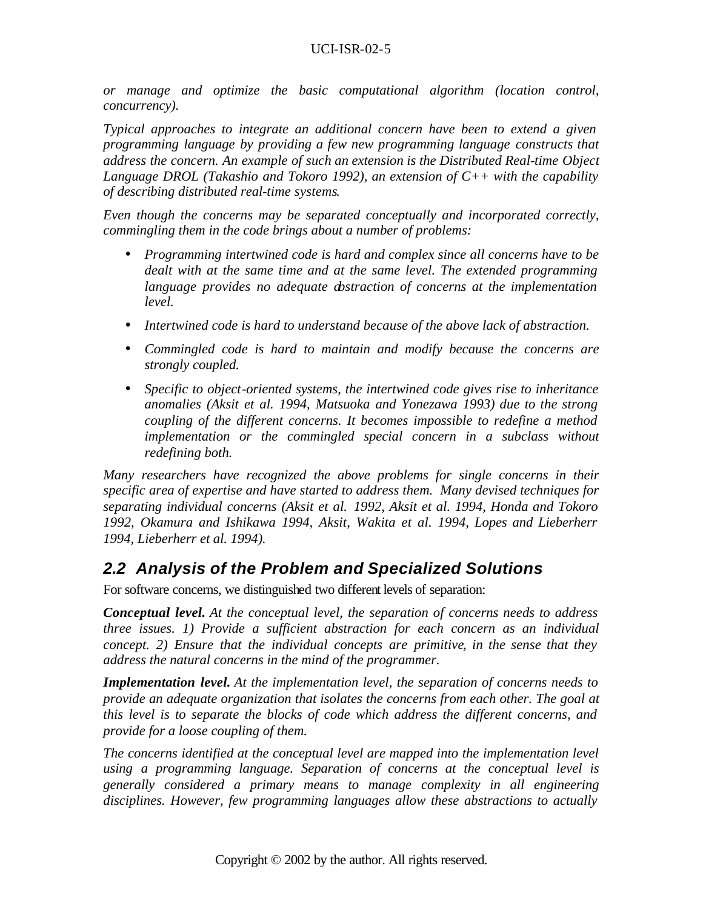*or manage and optimize the basic computational algorithm (location control, concurrency).*

*Typical approaches to integrate an additional concern have been to extend a given programming language by providing a few new programming language constructs that address the concern. An example of such an extension is the Distributed Real-time Object Language DROL (Takashio and Tokoro 1992), an extension of C++ with the capability of describing distributed real-time systems.*

*Even though the concerns may be separated conceptually and incorporated correctly, commingling them in the code brings about a number of problems:* 

- *Programming intertwined code is hard and complex since all concerns have to be dealt with at the same time and at the same level. The extended programming language provides no adequate distraction of concerns at the implementation level.*
- *Intertwined code is hard to understand because of the above lack of abstraction.*
- *Commingled code is hard to maintain and modify because the concerns are strongly coupled.*
- *Specific to object-oriented systems, the intertwined code gives rise to inheritance anomalies (Aksit et al. 1994, Matsuoka and Yonezawa 1993) due to the strong coupling of the different concerns. It becomes impossible to redefine a method implementation or the commingled special concern in a subclass without redefining both.*

*Many researchers have recognized the above problems for single concerns in their specific area of expertise and have started to address them. Many devised techniques for separating individual concerns (Aksit et al. 1992, Aksit et al. 1994, Honda and Tokoro 1992, Okamura and Ishikawa 1994, Aksit, Wakita et al. 1994, Lopes and Lieberherr 1994, Lieberherr et al. 1994).*

### *2.2 Analysis of the Problem and Specialized Solutions*

For software concerns, we distinguished two different levels of separation:

*Conceptual level. At the conceptual level, the separation of concerns needs to address three issues. 1) Provide a sufficient abstraction for each concern as an individual concept. 2) Ensure that the individual concepts are primitive, in the sense that they address the natural concerns in the mind of the programmer.*

*Implementation level. At the implementation level, the separation of concerns needs to provide an adequate organization that isolates the concerns from each other. The goal at this level is to separate the blocks of code which address the different concerns, and provide for a loose coupling of them.*

*The concerns identified at the conceptual level are mapped into the implementation level using a programming language. Separation of concerns at the conceptual level is generally considered a primary means to manage complexity in all engineering disciplines. However, few programming languages allow these abstractions to actually*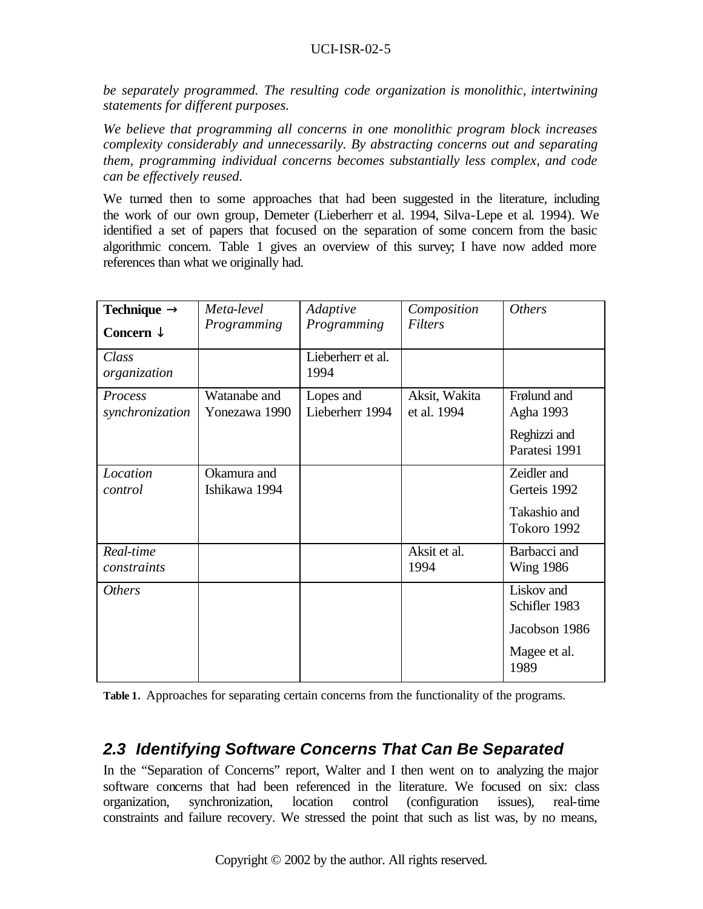*be separately programmed. The resulting code organization is monolithic, intertwining statements for different purposes.*

*We believe that programming all concerns in one monolithic program block increases complexity considerably and unnecessarily. By abstracting concerns out and separating them, programming individual concerns becomes substantially less complex, and code can be effectively reused.*

We turned then to some approaches that had been suggested in the literature, including the work of our own group, Demeter (Lieberherr et al. 1994, Silva-Lepe et al. 1994). We identified a set of papers that focused on the separation of some concern from the basic algorithmic concern. Table 1 gives an overview of this survey; I have now added more references than what we originally had.

| Technique $\rightarrow$ | Meta-level    | Adaptive                  | Composition   | <i><b>Others</b></i> |
|-------------------------|---------------|---------------------------|---------------|----------------------|
| Concern $\downarrow$    | Programming   | Programming               | Filters       |                      |
| Class<br>organization   |               | Lieberherr et al.<br>1994 |               |                      |
| Process                 | Watanabe and  | Lopes and                 | Aksit, Wakita | Frølund and          |
| synchronization         | Yonezawa 1990 | Lieberherr 1994           | et al. 1994   | Agha 1993            |
|                         |               |                           |               | Reghizzi and         |
|                         |               |                           |               | Paratesi 1991        |
| Location                | Okamura and   |                           |               | Zeidler and          |
| control                 | Ishikawa 1994 |                           |               | Gerteis 1992         |
|                         |               |                           |               | Takashio and         |
|                         |               |                           |               | Tokoro 1992          |
| Real-time               |               |                           | Aksit et al.  | Barbacci and         |
| constraints             |               |                           | 1994          | <b>Wing 1986</b>     |
| <i>Others</i>           |               |                           |               | Liskov and           |
|                         |               |                           |               | Schifler 1983        |
|                         |               |                           |               | Jacobson 1986        |
|                         |               |                           |               | Magee et al.         |
|                         |               |                           |               | 1989                 |
|                         |               |                           |               |                      |

Table 1. Approaches for separating certain concerns from the functionality of the programs.

### *2.3 Identifying Software Concerns That Can Be Separated*

In the "Separation of Concerns" report, Walter and I then went on to analyzing the major software concerns that had been referenced in the literature. We focused on six: class organization, synchronization, location control (configuration issues), real-time constraints and failure recovery. We stressed the point that such as list was, by no means,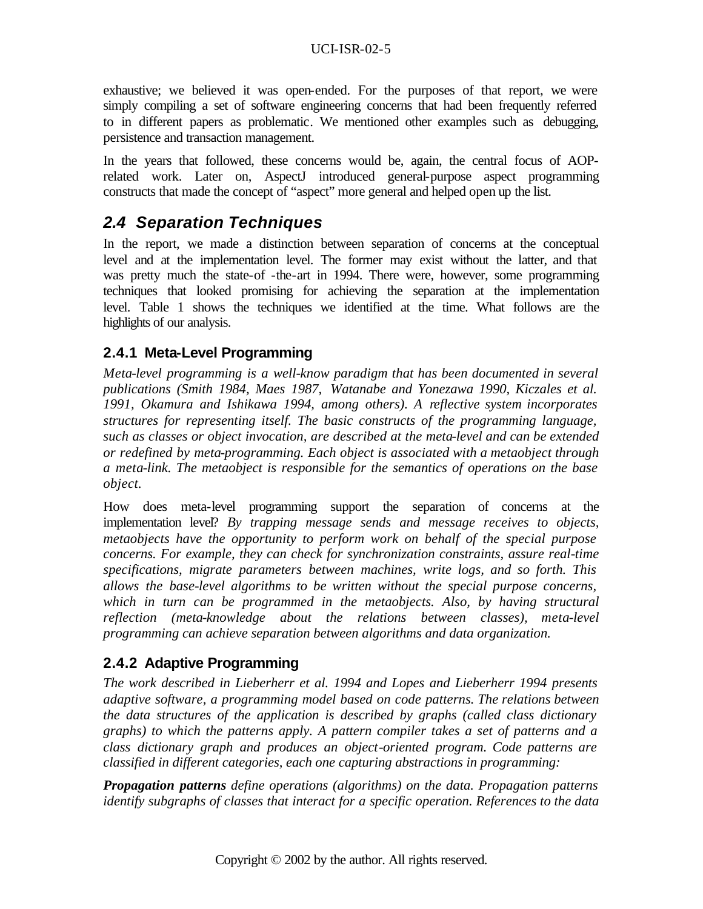exhaustive; we believed it was open-ended. For the purposes of that report, we were simply compiling a set of software engineering concerns that had been frequently referred to in different papers as problematic. We mentioned other examples such as debugging, persistence and transaction management.

In the years that followed, these concerns would be, again, the central focus of AOPrelated work. Later on, AspectJ introduced general-purpose aspect programming constructs that made the concept of "aspect" more general and helped open up the list.

### *2.4 Separation Techniques*

In the report, we made a distinction between separation of concerns at the conceptual level and at the implementation level. The former may exist without the latter, and that was pretty much the state-of -the-art in 1994. There were, however, some programming techniques that looked promising for achieving the separation at the implementation level. Table 1 shows the techniques we identified at the time. What follows are the highlights of our analysis.

### **2.4.1 Meta-Level Programming**

*Meta-level programming is a well-know paradigm that has been documented in several publications (Smith 1984, Maes 1987, Watanabe and Yonezawa 1990, Kiczales et al. 1991, Okamura and Ishikawa 1994, among others). A reflective system incorporates structures for representing itself. The basic constructs of the programming language, such as classes or object invocation, are described at the meta-level and can be extended or redefined by meta-programming. Each object is associated with a metaobject through a meta-link. The metaobject is responsible for the semantics of operations on the base object.*

How does meta-level programming support the separation of concerns at the implementation level? *By trapping message sends and message receives to objects, metaobjects have the opportunity to perform work on behalf of the special purpose concerns. For example, they can check for synchronization constraints, assure real-time specifications, migrate parameters between machines, write logs, and so forth. This allows the base-level algorithms to be written without the special purpose concerns, which in turn can be programmed in the metaobjects. Also, by having structural reflection (meta-knowledge about the relations between classes), meta-level programming can achieve separation between algorithms and data organization.*

### **2.4.2 Adaptive Programming**

*The work described in Lieberherr et al. 1994 and Lopes and Lieberherr 1994 presents adaptive software, a programming model based on code patterns. The relations between the data structures of the application is described by graphs (called class dictionary graphs) to which the patterns apply. A pattern compiler takes a set of patterns and a class dictionary graph and produces an object-oriented program. Code patterns are classified in different categories, each one capturing abstractions in programming:*

*Propagation patterns define operations (algorithms) on the data. Propagation patterns identify subgraphs of classes that interact for a specific operation. References to the data*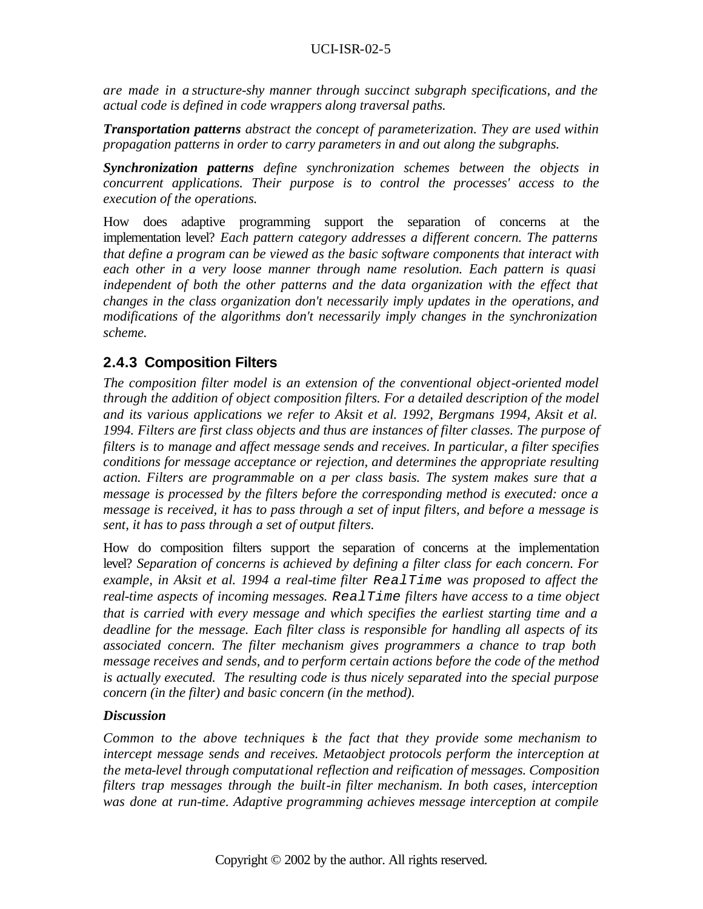*are made in a structure-shy manner through succinct subgraph specifications, and the actual code is defined in code wrappers along traversal paths.*

*Transportation patterns abstract the concept of parameterization. They are used within propagation patterns in order to carry parameters in and out along the subgraphs.*

*Synchronization patterns define synchronization schemes between the objects in concurrent applications. Their purpose is to control the processes' access to the execution of the operations.*

How does adaptive programming support the separation of concerns at the implementation level? *Each pattern category addresses a different concern. The patterns that define a program can be viewed as the basic software components that interact with each other in a very loose manner through name resolution. Each pattern is quasi independent of both the other patterns and the data organization with the effect that changes in the class organization don't necessarily imply updates in the operations, and modifications of the algorithms don't necessarily imply changes in the synchronization scheme.*

### **2.4.3 Composition Filters**

*The composition filter model is an extension of the conventional object-oriented model through the addition of object composition filters. For a detailed description of the model and its various applications we refer to Aksit et al. 1992, Bergmans 1994, Aksit et al. 1994. Filters are first class objects and thus are instances of filter classes. The purpose of filters is to manage and affect message sends and receives. In particular, a filter specifies conditions for message acceptance or rejection, and determines the appropriate resulting action. Filters are programmable on a per class basis. The system makes sure that a message is processed by the filters before the corresponding method is executed: once a message is received, it has to pass through a set of input filters, and before a message is sent, it has to pass through a set of output filters.*

How do composition filters support the separation of concerns at the implementation level? *Separation of concerns is achieved by defining a filter class for each concern. For example, in Aksit et al. 1994 a real-time filter RealTime was proposed to affect the real-time aspects of incoming messages. RealTime filters have access to a time object that is carried with every message and which specifies the earliest starting time and a deadline for the message. Each filter class is responsible for handling all aspects of its associated concern. The filter mechanism gives programmers a chance to trap both message receives and sends, and to perform certain actions before the code of the method is actually executed. The resulting code is thus nicely separated into the special purpose concern (in the filter) and basic concern (in the method).*

### *Discussion*

*Common to the above techniques is the fact that they provide some mechanism to intercept message sends and receives. Metaobject protocols perform the interception at the meta-level through computational reflection and reification of messages. Composition filters trap messages through the built-in filter mechanism. In both cases, interception was done at run-time. Adaptive programming achieves message interception at compile*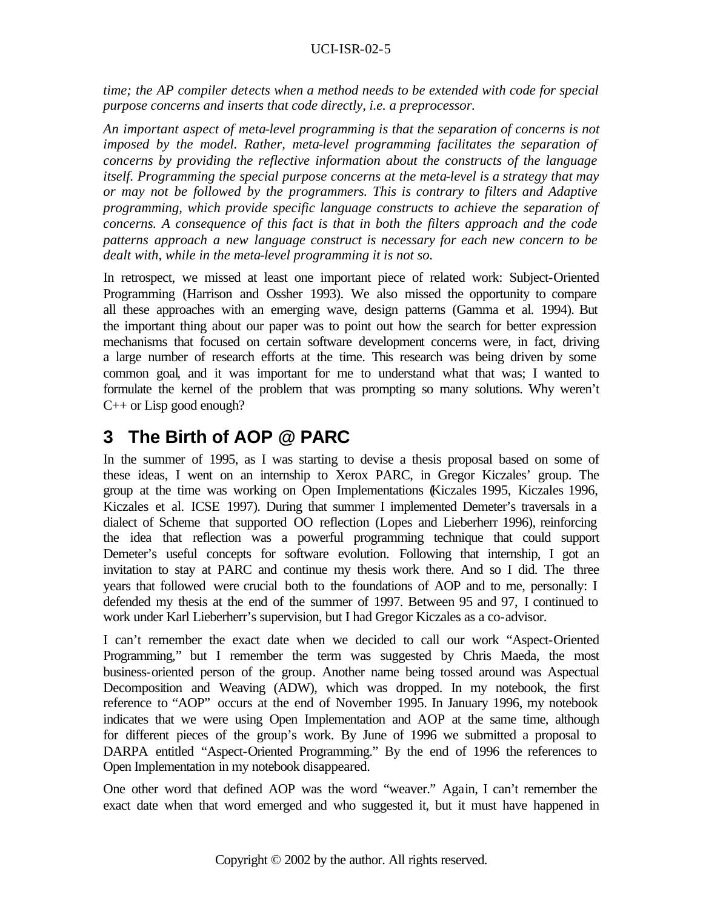*time; the AP compiler detects when a method needs to be extended with code for special purpose concerns and inserts that code directly, i.e. a preprocessor.* 

*An important aspect of meta-level programming is that the separation of concerns is not imposed by the model. Rather, meta-level programming facilitates the separation of concerns by providing the reflective information about the constructs of the language itself. Programming the special purpose concerns at the meta-level is a strategy that may or may not be followed by the programmers. This is contrary to filters and Adaptive programming, which provide specific language constructs to achieve the separation of concerns. A consequence of this fact is that in both the filters approach and the code patterns approach a new language construct is necessary for each new concern to be dealt with, while in the meta-level programming it is not so.*

In retrospect, we missed at least one important piece of related work: Subject-Oriented Programming (Harrison and Ossher 1993). We also missed the opportunity to compare all these approaches with an emerging wave, design patterns (Gamma et al. 1994). But the important thing about our paper was to point out how the search for better expression mechanisms that focused on certain software development concerns were, in fact, driving a large number of research efforts at the time. This research was being driven by some common goal, and it was important for me to understand what that was; I wanted to formulate the kernel of the problem that was prompting so many solutions. Why weren't  $C_{++}$  or Lisp good enough?

## **3 The Birth of AOP @ PARC**

In the summer of 1995, as I was starting to devise a thesis proposal based on some of these ideas, I went on an internship to Xerox PARC, in Gregor Kiczales' group. The group at the time was working on Open Implementations (Kiczales 1995, Kiczales 1996, Kiczales et al. ICSE 1997). During that summer I implemented Demeter's traversals in a dialect of Scheme that supported OO reflection (Lopes and Lieberherr 1996), reinforcing the idea that reflection was a powerful programming technique that could support Demeter's useful concepts for software evolution. Following that internship, I got an invitation to stay at PARC and continue my thesis work there. And so I did. The three years that followed were crucial both to the foundations of AOP and to me, personally: I defended my thesis at the end of the summer of 1997. Between 95 and 97, I continued to work under Karl Lieberherr's supervision, but I had Gregor Kiczales as a co-advisor.

I can't remember the exact date when we decided to call our work "Aspect-Oriented Programming," but I remember the term was suggested by Chris Maeda, the most business-oriented person of the group. Another name being tossed around was Aspectual Decomposition and Weaving (ADW), which was dropped. In my notebook, the first reference to "AOP" occurs at the end of November 1995. In January 1996, my notebook indicates that we were using Open Implementation and AOP at the same time, although for different pieces of the group's work. By June of 1996 we submitted a proposal to DARPA entitled "Aspect-Oriented Programming." By the end of 1996 the references to Open Implementation in my notebook disappeared.

One other word that defined AOP was the word "weaver." Again, I can't remember the exact date when that word emerged and who suggested it, but it must have happened in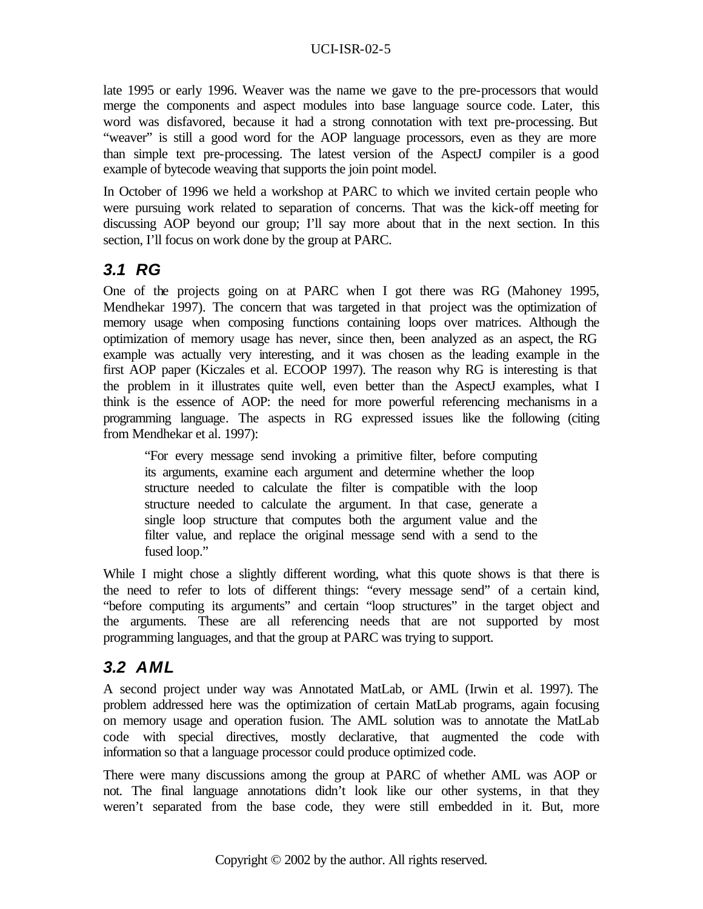late 1995 or early 1996. Weaver was the name we gave to the pre-processors that would merge the components and aspect modules into base language source code. Later, this word was disfavored, because it had a strong connotation with text pre-processing. But "weaver" is still a good word for the AOP language processors, even as they are more than simple text pre-processing. The latest version of the AspectJ compiler is a good example of bytecode weaving that supports the join point model.

In October of 1996 we held a workshop at PARC to which we invited certain people who were pursuing work related to separation of concerns. That was the kick-off meeting for discussing AOP beyond our group; I'll say more about that in the next section. In this section, I'll focus on work done by the group at PARC.

### *3.1 RG*

One of the projects going on at PARC when I got there was RG (Mahoney 1995, Mendhekar 1997). The concern that was targeted in that project was the optimization of memory usage when composing functions containing loops over matrices. Although the optimization of memory usage has never, since then, been analyzed as an aspect, the RG example was actually very interesting, and it was chosen as the leading example in the first AOP paper (Kiczales et al. ECOOP 1997). The reason why RG is interesting is that the problem in it illustrates quite well, even better than the AspectJ examples, what I think is the essence of AOP: the need for more powerful referencing mechanisms in a programming language. The aspects in RG expressed issues like the following (citing from Mendhekar et al. 1997):

"For every message send invoking a primitive filter, before computing its arguments, examine each argument and determine whether the loop structure needed to calculate the filter is compatible with the loop structure needed to calculate the argument. In that case, generate a single loop structure that computes both the argument value and the filter value, and replace the original message send with a send to the fused loop."

While I might chose a slightly different wording, what this quote shows is that there is the need to refer to lots of different things: "every message send" of a certain kind, "before computing its arguments" and certain "loop structures" in the target object and the arguments. These are all referencing needs that are not supported by most programming languages, and that the group at PARC was trying to support.

### *3.2 AML*

A second project under way was Annotated MatLab, or AML (Irwin et al. 1997). The problem addressed here was the optimization of certain MatLab programs, again focusing on memory usage and operation fusion. The AML solution was to annotate the MatLab code with special directives, mostly declarative, that augmented the code with information so that a language processor could produce optimized code.

There were many discussions among the group at PARC of whether AML was AOP or not. The final language annotations didn't look like our other systems, in that they weren't separated from the base code, they were still embedded in it. But, more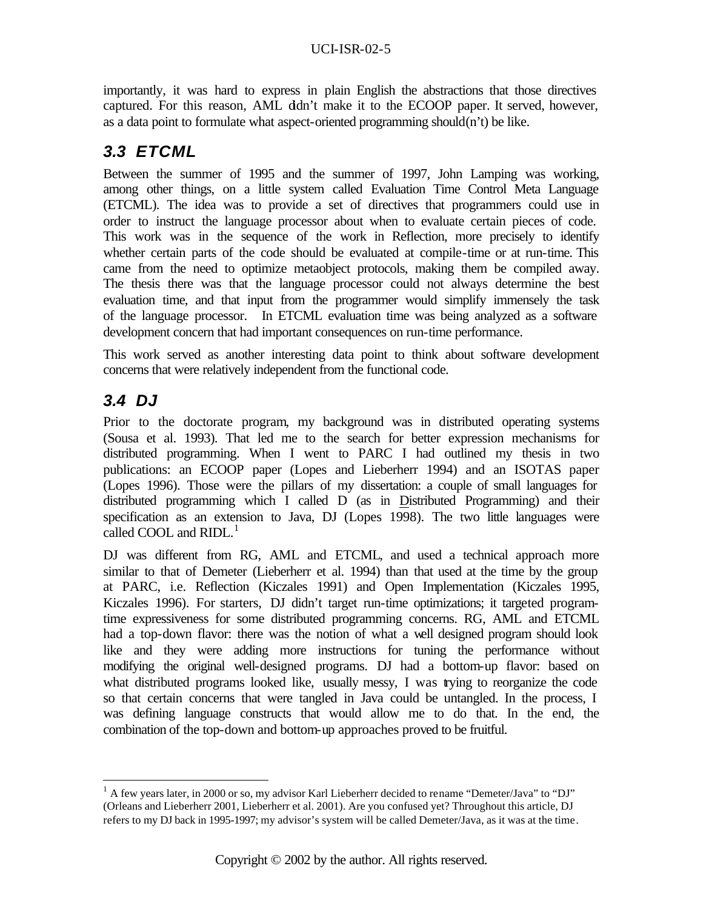importantly, it was hard to express in plain English the abstractions that those directives captured. For this reason, AML didn't make it to the ECOOP paper. It served, however, as a data point to formulate what aspect-oriented programming should $(n<sup>2</sup>)$  be like.

## *3.3 ETCML*

Between the summer of 1995 and the summer of 1997, John Lamping was working, among other things, on a little system called Evaluation Time Control Meta Language (ETCML). The idea was to provide a set of directives that programmers could use in order to instruct the language processor about when to evaluate certain pieces of code. This work was in the sequence of the work in Reflection, more precisely to identify whether certain parts of the code should be evaluated at compile-time or at run-time. This came from the need to optimize metaobject protocols, making them be compiled away. The thesis there was that the language processor could not always determine the best evaluation time, and that input from the programmer would simplify immensely the task of the language processor. In ETCML evaluation time was being analyzed as a software development concern that had important consequences on run-time performance.

This work served as another interesting data point to think about software development concerns that were relatively independent from the functional code.

## *3.4 DJ*

Prior to the doctorate program, my background was in distributed operating systems (Sousa et al. 1993). That led me to the search for better expression mechanisms for distributed programming. When I went to PARC I had outlined my thesis in two publications: an ECOOP paper (Lopes and Lieberherr 1994) and an ISOTAS paper (Lopes 1996). Those were the pillars of my dissertation: a couple of small languages for distributed programming which I called D (as in Distributed Programming) and their specification as an extension to Java, DJ (Lopes 1998). The two little languages were called COOL and  $RIDL<sup>1</sup>$ 

DJ was different from RG, AML and ETCML, and used a technical approach more similar to that of Demeter (Lieberherr et al. 1994) than that used at the time by the group at PARC, i.e. Reflection (Kiczales 1991) and Open Implementation (Kiczales 1995, Kiczales 1996). For starters, DJ didn't target run-time optimizations; it targeted programtime expressiveness for some distributed programming concerns. RG, AML and ETCML had a top-down flavor: there was the notion of what a well designed program should look like and they were adding more instructions for tuning the performance without modifying the original well-designed programs. DJ had a bottom-up flavor: based on what distributed programs looked like, usually messy, I was trying to reorganize the code so that certain concerns that were tangled in Java could be untangled. In the process, I was defining language constructs that would allow me to do that. In the end, the combination of the top-down and bottom-up approaches proved to be fruitful.

 $\overline{a}$  $<sup>1</sup>$  A few years later, in 2000 or so, my advisor Karl Lieberherr decided to rename "Demeter/Java" to "DJ"</sup> (Orleans and Lieberherr 2001, Lieberherr et al. 2001). Are you confused yet? Throughout this article, DJ refers to my DJ back in 1995-1997; my advisor's system will be called Demeter/Java, as it was at the time.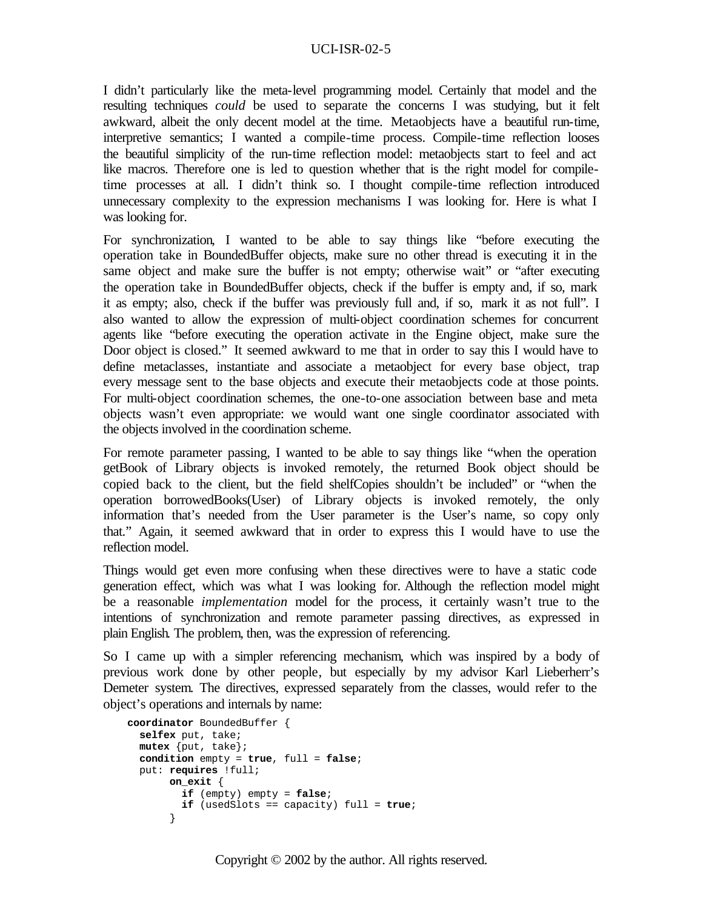I didn't particularly like the meta-level programming model. Certainly that model and the resulting techniques *could* be used to separate the concerns I was studying, but it felt awkward, albeit the only decent model at the time. Metaobjects have a beautiful run-time, interpretive semantics; I wanted a compile-time process. Compile-time reflection looses the beautiful simplicity of the run-time reflection model: metaobjects start to feel and act like macros. Therefore one is led to question whether that is the right model for compiletime processes at all. I didn't think so. I thought compile-time reflection introduced unnecessary complexity to the expression mechanisms I was looking for. Here is what I was looking for.

For synchronization, I wanted to be able to say things like "before executing the operation take in BoundedBuffer objects, make sure no other thread is executing it in the same object and make sure the buffer is not empty; otherwise wait" or "after executing the operation take in BoundedBuffer objects, check if the buffer is empty and, if so, mark it as empty; also, check if the buffer was previously full and, if so, mark it as not full". I also wanted to allow the expression of multi-object coordination schemes for concurrent agents like "before executing the operation activate in the Engine object, make sure the Door object is closed." It seemed awkward to me that in order to say this I would have to define metaclasses, instantiate and associate a metaobject for every base object, trap every message sent to the base objects and execute their metaobjects code at those points. For multi-object coordination schemes, the one-to-one association between base and meta objects wasn't even appropriate: we would want one single coordinator associated with the objects involved in the coordination scheme.

For remote parameter passing, I wanted to be able to say things like "when the operation getBook of Library objects is invoked remotely, the returned Book object should be copied back to the client, but the field shelfCopies shouldn't be included" or "when the operation borrowedBooks(User) of Library objects is invoked remotely, the only information that's needed from the User parameter is the User's name, so copy only that." Again, it seemed awkward that in order to express this I would have to use the reflection model.

Things would get even more confusing when these directives were to have a static code generation effect, which was what I was looking for. Although the reflection model might be a reasonable *implementation* model for the process, it certainly wasn't true to the intentions of synchronization and remote parameter passing directives, as expressed in plain English. The problem, then, was the expression of referencing.

So I came up with a simpler referencing mechanism, which was inspired by a body of previous work done by other people, but especially by my advisor Karl Lieberherr's Demeter system. The directives, expressed separately from the classes, would refer to the object's operations and internals by name:

```
 coordinator BoundedBuffer {
      selfex put, take;
      mutex {put, take};
      condition empty = true, full = false;
      put: requires !full;
           on_exit {
             if (empty) empty = false;
             if (usedSlots == capacity) full = true;
 }
```
Copyright © 2002 by the author. All rights reserved.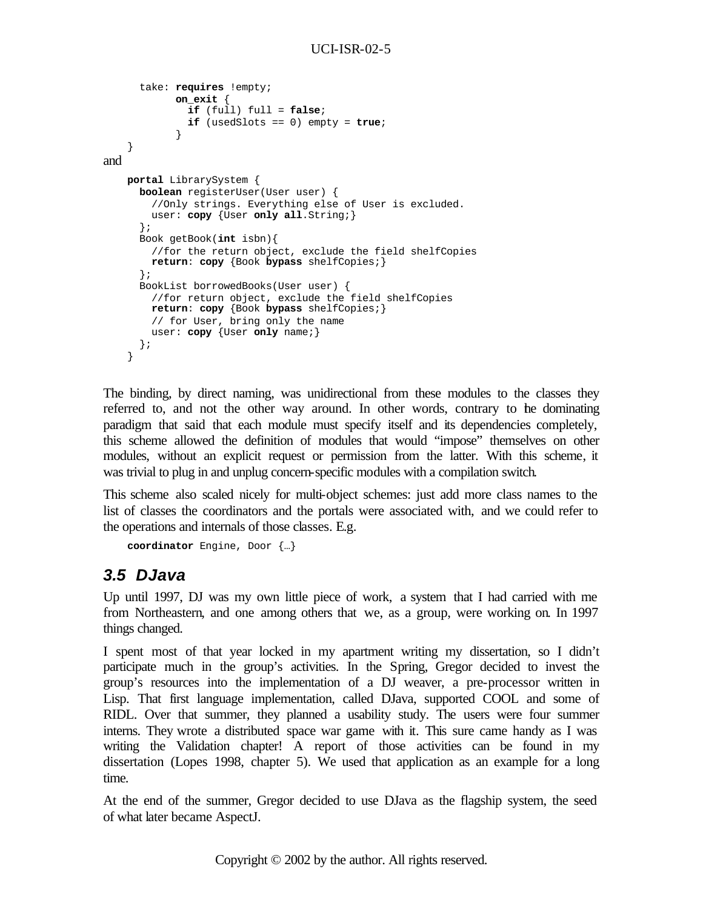```
 take: requires !empty;
             on_exit {
              if (full) full = false;
               if (usedSlots == 0) empty = true;
 }
     }
and
    portal LibrarySystem {
       boolean registerUser(User user) {
        //Only strings. Everything else of User is excluded.
        user: copy {User only all.String;}
       };
       Book getBook(int isbn){
        //for the return object, exclude the field shelfCopies
        return: copy {Book bypass shelfCopies;}
       };
       BookList borrowedBooks(User user) {
         //for return object, exclude the field shelfCopies
         return: copy {Book bypass shelfCopies;}
         // for User, bring only the name
         user: copy {User only name;}
       };
     }
```
The binding, by direct naming, was unidirectional from these modules to the classes they referred to, and not the other way around. In other words, contrary to the dominating paradigm that said that each module must specify itself and its dependencies completely, this scheme allowed the definition of modules that would "impose" themselves on other modules, without an explicit request or permission from the latter. With this scheme, it was trivial to plug in and unplug concern-specific modules with a compilation switch.

This scheme also scaled nicely for multi-object schemes: just add more class names to the list of classes the coordinators and the portals were associated with, and we could refer to the operations and internals of those classes. E.g.

```
 coordinator Engine, Door {…}
```
### *3.5 DJava*

Up until 1997, DJ was my own little piece of work, a system that I had carried with me from Northeastern, and one among others that we, as a group, were working on. In 1997 things changed.

I spent most of that year locked in my apartment writing my dissertation, so I didn't participate much in the group's activities. In the Spring, Gregor decided to invest the group's resources into the implementation of a DJ weaver, a pre-processor written in Lisp. That first language implementation, called DJava, supported COOL and some of RIDL. Over that summer, they planned a usability study. The users were four summer interns. They wrote a distributed space war game with it. This sure came handy as I was writing the Validation chapter! A report of those activities can be found in my dissertation (Lopes 1998, chapter 5). We used that application as an example for a long time.

At the end of the summer, Gregor decided to use DJava as the flagship system, the seed of what later became AspectJ.

Copyright © 2002 by the author. All rights reserved.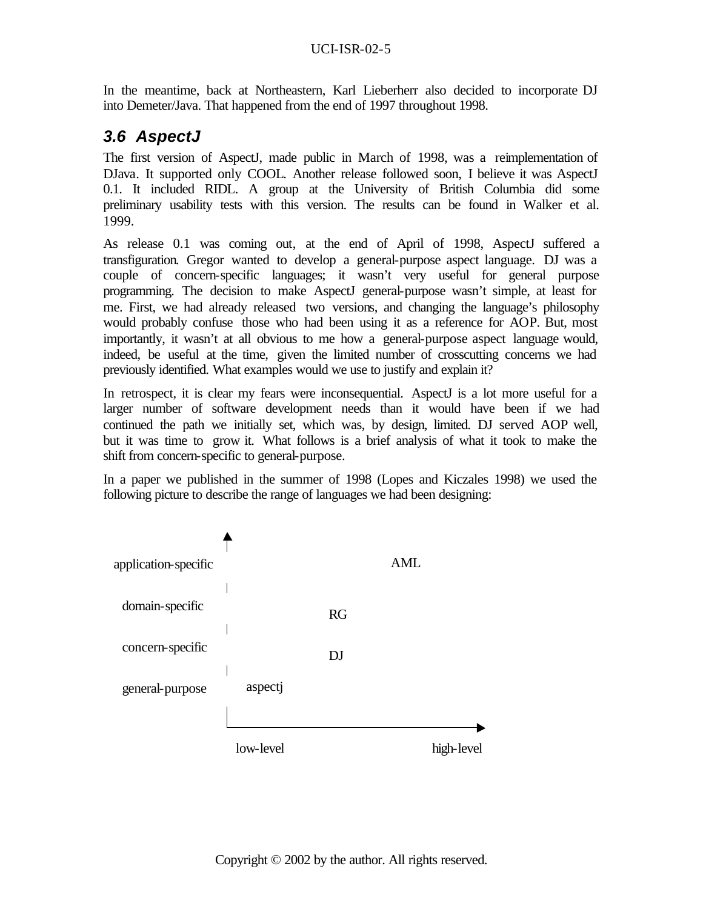In the meantime, back at Northeastern, Karl Lieberherr also decided to incorporate DJ into Demeter/Java. That happened from the end of 1997 throughout 1998.

### *3.6 AspectJ*

The first version of AspectJ, made public in March of 1998, was a reimplementation of DJava. It supported only COOL. Another release followed soon, I believe it was AspectJ 0.1. It included RIDL. A group at the University of British Columbia did some preliminary usability tests with this version. The results can be found in Walker et al. 1999.

As release 0.1 was coming out, at the end of April of 1998, AspectJ suffered a transfiguration. Gregor wanted to develop a general-purpose aspect language. DJ was a couple of concern-specific languages; it wasn't very useful for general purpose programming. The decision to make AspectJ general-purpose wasn't simple, at least for me. First, we had already released two versions, and changing the language's philosophy would probably confuse those who had been using it as a reference for AOP. But, most importantly, it wasn't at all obvious to me how a general-purpose aspect language would, indeed, be useful at the time, given the limited number of crosscutting concerns we had previously identified. What examples would we use to justify and explain it?

In retrospect, it is clear my fears were inconsequential. AspectJ is a lot more useful for a larger number of software development needs than it would have been if we had continued the path we initially set, which was, by design, limited. DJ served AOP well, but it was time to grow it. What follows is a brief analysis of what it took to make the shift from concern-specific to general-purpose.

In a paper we published in the summer of 1998 (Lopes and Kiczales 1998) we used the following picture to describe the range of languages we had been designing:

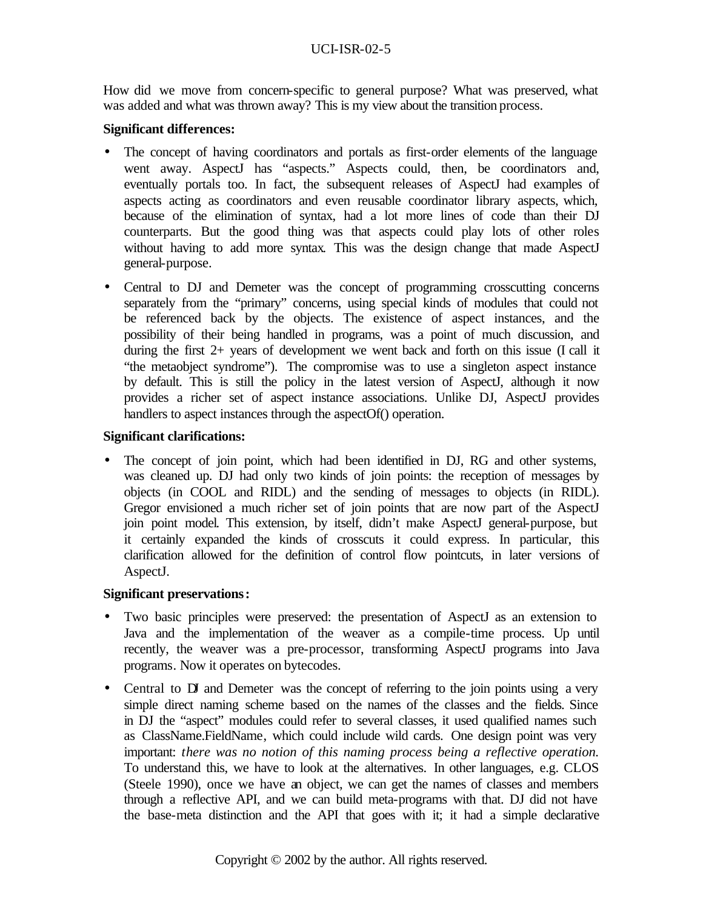How did we move from concern-specific to general purpose? What was preserved, what was added and what was thrown away? This is my view about the transition process.

#### **Significant differences:**

- The concept of having coordinators and portals as first-order elements of the language went away. AspectJ has "aspects." Aspects could, then, be coordinators and, eventually portals too. In fact, the subsequent releases of AspectJ had examples of aspects acting as coordinators and even reusable coordinator library aspects, which, because of the elimination of syntax, had a lot more lines of code than their DJ counterparts. But the good thing was that aspects could play lots of other roles without having to add more syntax. This was the design change that made AspectJ general-purpose.
- Central to DJ and Demeter was the concept of programming crosscutting concerns separately from the "primary" concerns, using special kinds of modules that could not be referenced back by the objects. The existence of aspect instances, and the possibility of their being handled in programs, was a point of much discussion, and during the first 2+ years of development we went back and forth on this issue (I call it "the metaobject syndrome"). The compromise was to use a singleton aspect instance by default. This is still the policy in the latest version of AspectJ, although it now provides a richer set of aspect instance associations. Unlike DJ, AspectJ provides handlers to aspect instances through the aspectOf() operation.

#### **Significant clarifications:**

The concept of join point, which had been identified in DJ, RG and other systems, was cleaned up. DJ had only two kinds of join points: the reception of messages by objects (in COOL and RIDL) and the sending of messages to objects (in RIDL). Gregor envisioned a much richer set of join points that are now part of the AspectJ join point model. This extension, by itself, didn't make AspectJ general-purpose, but it certainly expanded the kinds of crosscuts it could express. In particular, this clarification allowed for the definition of control flow pointcuts, in later versions of AspectJ.

### **Significant preservations:**

- Two basic principles were preserved: the presentation of AspectJ as an extension to Java and the implementation of the weaver as a compile-time process. Up until recently, the weaver was a pre-processor, transforming AspectJ programs into Java programs. Now it operates on bytecodes.
- Central to DJ and Demeter was the concept of referring to the join points using a very simple direct naming scheme based on the names of the classes and the fields. Since in DJ the "aspect" modules could refer to several classes, it used qualified names such as ClassName.FieldName, which could include wild cards. One design point was very important: *there was no notion of this naming process being a reflective operation.* To understand this, we have to look at the alternatives. In other languages, e.g. CLOS (Steele 1990), once we have an object, we can get the names of classes and members through a reflective API, and we can build meta-programs with that. DJ did not have the base-meta distinction and the API that goes with it; it had a simple declarative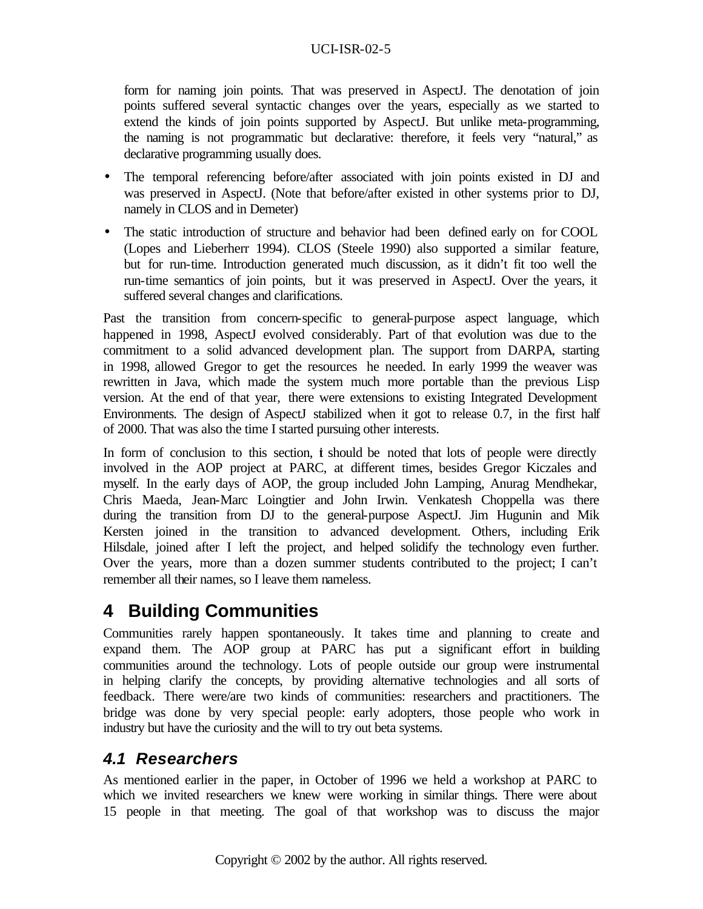form for naming join points. That was preserved in AspectJ. The denotation of join points suffered several syntactic changes over the years, especially as we started to extend the kinds of join points supported by AspectJ. But unlike meta-programming, the naming is not programmatic but declarative: therefore, it feels very "natural," as declarative programming usually does.

- The temporal referencing before/after associated with join points existed in DJ and was preserved in AspectJ. (Note that before/after existed in other systems prior to DJ, namely in CLOS and in Demeter)
- The static introduction of structure and behavior had been defined early on for COOL (Lopes and Lieberherr 1994). CLOS (Steele 1990) also supported a similar feature, but for run-time. Introduction generated much discussion, as it didn't fit too well the run-time semantics of join points, but it was preserved in AspectJ. Over the years, it suffered several changes and clarifications.

Past the transition from concern-specific to general-purpose aspect language, which happened in 1998, AspectJ evolved considerably. Part of that evolution was due to the commitment to a solid advanced development plan. The support from DARPA, starting in 1998, allowed Gregor to get the resources he needed. In early 1999 the weaver was rewritten in Java, which made the system much more portable than the previous Lisp version. At the end of that year, there were extensions to existing Integrated Development Environments. The design of AspectJ stabilized when it got to release 0.7, in the first half of 2000. That was also the time I started pursuing other interests.

In form of conclusion to this section, it should be noted that lots of people were directly involved in the AOP project at PARC, at different times, besides Gregor Kiczales and myself. In the early days of AOP, the group included John Lamping, Anurag Mendhekar, Chris Maeda, Jean-Marc Loingtier and John Irwin. Venkatesh Choppella was there during the transition from DJ to the general-purpose AspectJ. Jim Hugunin and Mik Kersten joined in the transition to advanced development. Others, including Erik Hilsdale, joined after I left the project, and helped solidify the technology even further. Over the years, more than a dozen summer students contributed to the project; I can't remember all their names, so I leave them nameless.

# **4 Building Communities**

Communities rarely happen spontaneously. It takes time and planning to create and expand them. The AOP group at PARC has put a significant effort in building communities around the technology. Lots of people outside our group were instrumental in helping clarify the concepts, by providing alternative technologies and all sorts of feedback. There were/are two kinds of communities: researchers and practitioners. The bridge was done by very special people: early adopters, those people who work in industry but have the curiosity and the will to try out beta systems.

## *4.1 Researchers*

As mentioned earlier in the paper, in October of 1996 we held a workshop at PARC to which we invited researchers we knew were working in similar things. There were about 15 people in that meeting. The goal of that workshop was to discuss the major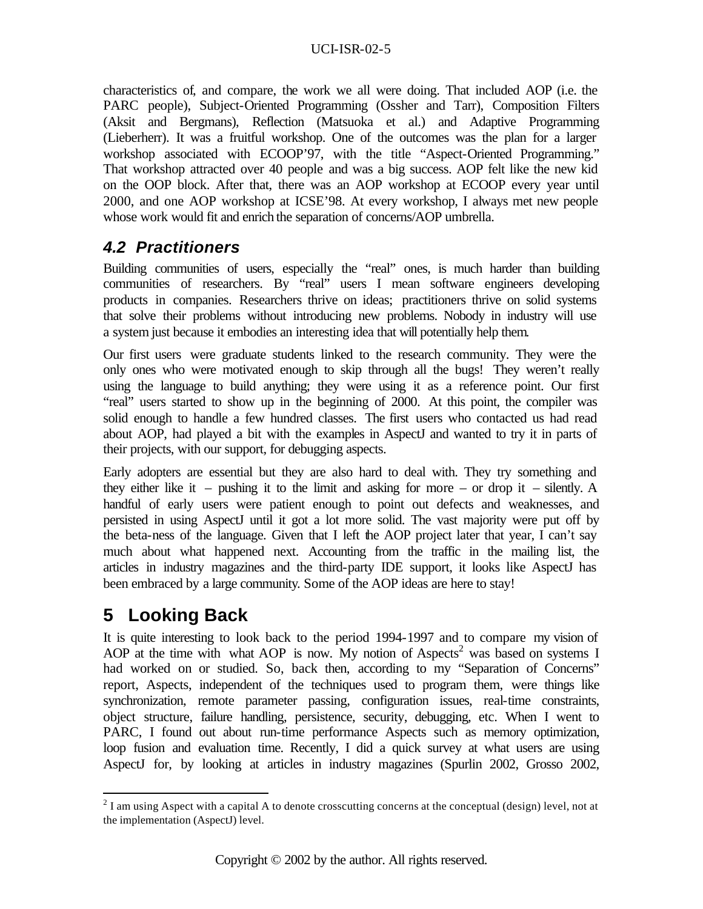characteristics of, and compare, the work we all were doing. That included AOP (i.e. the PARC people), Subject-Oriented Programming (Ossher and Tarr), Composition Filters (Aksit and Bergmans), Reflection (Matsuoka et al.) and Adaptive Programming (Lieberherr). It was a fruitful workshop. One of the outcomes was the plan for a larger workshop associated with ECOOP'97, with the title "Aspect-Oriented Programming." That workshop attracted over 40 people and was a big success. AOP felt like the new kid on the OOP block. After that, there was an AOP workshop at ECOOP every year until 2000, and one AOP workshop at ICSE'98. At every workshop, I always met new people whose work would fit and enrich the separation of concerns/AOP umbrella.

### *4.2 Practitioners*

Building communities of users, especially the "real" ones, is much harder than building communities of researchers. By "real" users I mean software engineers developing products in companies. Researchers thrive on ideas; practitioners thrive on solid systems that solve their problems without introducing new problems. Nobody in industry will use a system just because it embodies an interesting idea that will potentially help them.

Our first users were graduate students linked to the research community. They were the only ones who were motivated enough to skip through all the bugs! They weren't really using the language to build anything; they were using it as a reference point. Our first "real" users started to show up in the beginning of 2000. At this point, the compiler was solid enough to handle a few hundred classes. The first users who contacted us had read about AOP, had played a bit with the examples in AspectJ and wanted to try it in parts of their projects, with our support, for debugging aspects.

Early adopters are essential but they are also hard to deal with. They try something and they either like it – pushing it to the limit and asking for more – or drop it – silently. A handful of early users were patient enough to point out defects and weaknesses, and persisted in using AspectJ until it got a lot more solid. The vast majority were put off by the beta-ness of the language. Given that I left the AOP project later that year, I can't say much about what happened next. Accounting from the traffic in the mailing list, the articles in industry magazines and the third-party IDE support, it looks like AspectJ has been embraced by a large community. Some of the AOP ideas are here to stay!

## **5 Looking Back**

 $\overline{a}$ 

It is quite interesting to look back to the period 1994-1997 and to compare my vision of AOP at the time with what AOP is now. My notion of Aspects<sup>2</sup> was based on systems I had worked on or studied. So, back then, according to my "Separation of Concerns" report, Aspects, independent of the techniques used to program them, were things like synchronization, remote parameter passing, configuration issues, real-time constraints, object structure, failure handling, persistence, security, debugging, etc. When I went to PARC, I found out about run-time performance Aspects such as memory optimization, loop fusion and evaluation time. Recently, I did a quick survey at what users are using AspectJ for, by looking at articles in industry magazines (Spurlin 2002, Grosso 2002,

 $2^{2}$  I am using Aspect with a capital A to denote crosscutting concerns at the conceptual (design) level, not at the implementation (AspectJ) level.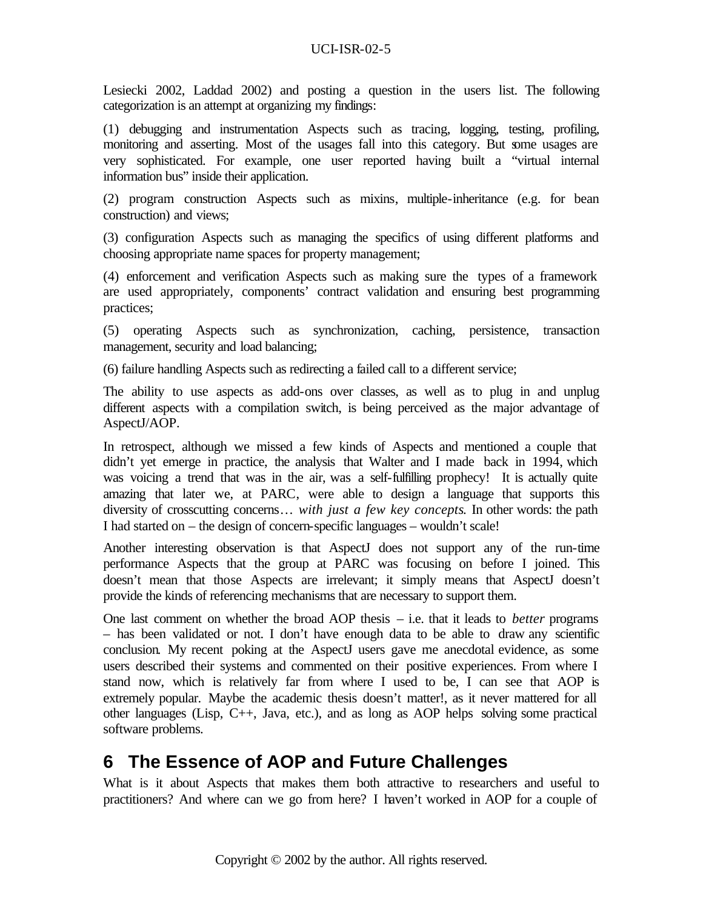Lesiecki 2002, Laddad 2002) and posting a question in the users list. The following categorization is an attempt at organizing my findings:

(1) debugging and instrumentation Aspects such as tracing, logging, testing, profiling, monitoring and asserting. Most of the usages fall into this category. But some usages are very sophisticated. For example, one user reported having built a "virtual internal information bus" inside their application.

(2) program construction Aspects such as mixins, multiple-inheritance (e.g. for bean construction) and views;

(3) configuration Aspects such as managing the specifics of using different platforms and choosing appropriate name spaces for property management;

(4) enforcement and verification Aspects such as making sure the types of a framework are used appropriately, components' contract validation and ensuring best programming practices;

(5) operating Aspects such as synchronization, caching, persistence, transaction management, security and load balancing;

(6) failure handling Aspects such as redirecting a failed call to a different service;

The ability to use aspects as add-ons over classes, as well as to plug in and unplug different aspects with a compilation switch, is being perceived as the major advantage of AspectJ/AOP.

In retrospect, although we missed a few kinds of Aspects and mentioned a couple that didn't yet emerge in practice, the analysis that Walter and I made back in 1994, which was voicing a trend that was in the air, was a self-fulfilling prophecy! It is actually quite amazing that later we, at PARC, were able to design a language that supports this diversity of crosscutting concerns… *with just a few key concepts*. In other words: the path I had started on – the design of concern-specific languages – wouldn't scale!

Another interesting observation is that AspectJ does not support any of the run-time performance Aspects that the group at PARC was focusing on before I joined. This doesn't mean that those Aspects are irrelevant; it simply means that AspectJ doesn't provide the kinds of referencing mechanisms that are necessary to support them.

One last comment on whether the broad AOP thesis – i.e. that it leads to *better* programs – has been validated or not. I don't have enough data to be able to draw any scientific conclusion. My recent poking at the AspectJ users gave me anecdotal evidence, as some users described their systems and commented on their positive experiences. From where I stand now, which is relatively far from where I used to be, I can see that AOP is extremely popular. Maybe the academic thesis doesn't matter!, as it never mattered for all other languages (Lisp, C++, Java, etc.), and as long as AOP helps solving some practical software problems.

## **6 The Essence of AOP and Future Challenges**

What is it about Aspects that makes them both attractive to researchers and useful to practitioners? And where can we go from here? I haven't worked in AOP for a couple of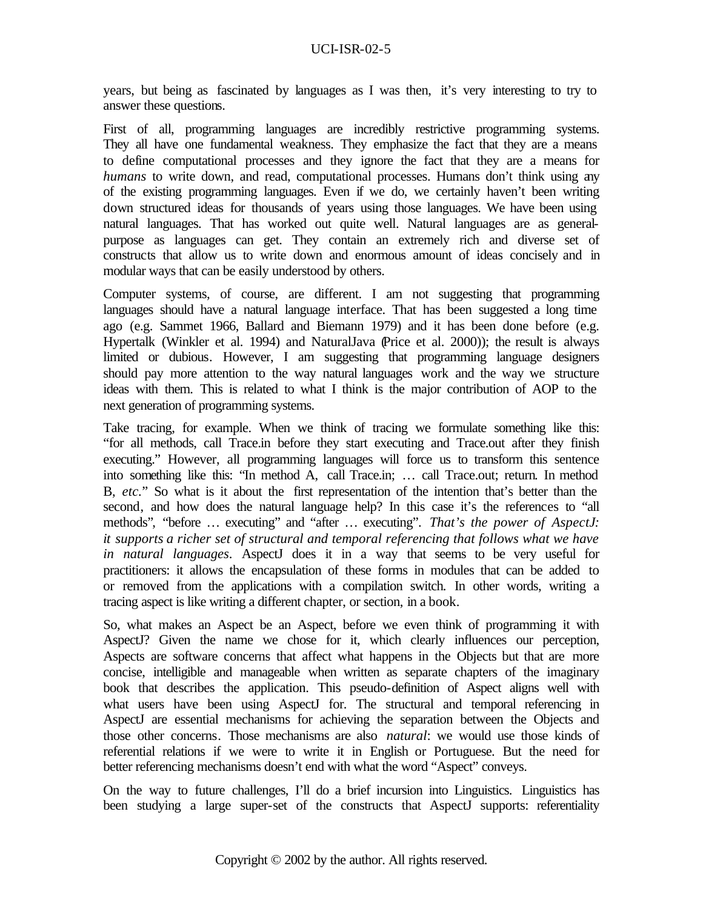years, but being as fascinated by languages as I was then, it's very interesting to try to answer these questions.

First of all, programming languages are incredibly restrictive programming systems. They all have one fundamental weakness. They emphasize the fact that they are a means to define computational processes and they ignore the fact that they are a means for *humans* to write down, and read, computational processes. Humans don't think using any of the existing programming languages. Even if we do, we certainly haven't been writing down structured ideas for thousands of years using those languages. We have been using natural languages. That has worked out quite well. Natural languages are as generalpurpose as languages can get. They contain an extremely rich and diverse set of constructs that allow us to write down and enormous amount of ideas concisely and in modular ways that can be easily understood by others.

Computer systems, of course, are different. I am not suggesting that programming languages should have a natural language interface. That has been suggested a long time ago (e.g. Sammet 1966, Ballard and Biemann 1979) and it has been done before (e.g. Hypertalk (Winkler et al. 1994) and NaturalJava (Price et al. 2000)); the result is always limited or dubious. However, I am suggesting that programming language designers should pay more attention to the way natural languages work and the way we structure ideas with them. This is related to what I think is the major contribution of AOP to the next generation of programming systems.

Take tracing, for example. When we think of tracing we formulate something like this: "for all methods, call Trace.in before they start executing and Trace.out after they finish executing." However, all programming languages will force us to transform this sentence into something like this: "In method A, call Trace.in; … call Trace.out; return. In method B, *etc.*" So what is it about the first representation of the intention that's better than the second, and how does the natural language help? In this case it's the references to "all methods", "before … executing" and "after … executing". *That's the power of AspectJ: it supports a richer set of structural and temporal referencing that follows what we have in natural languages*. AspectJ does it in a way that seems to be very useful for practitioners: it allows the encapsulation of these forms in modules that can be added to or removed from the applications with a compilation switch. In other words, writing a tracing aspect is like writing a different chapter, or section, in a book.

So, what makes an Aspect be an Aspect, before we even think of programming it with AspectJ? Given the name we chose for it, which clearly influences our perception, Aspects are software concerns that affect what happens in the Objects but that are more concise, intelligible and manageable when written as separate chapters of the imaginary book that describes the application. This pseudo-definition of Aspect aligns well with what users have been using AspectJ for. The structural and temporal referencing in AspectJ are essential mechanisms for achieving the separation between the Objects and those other concerns. Those mechanisms are also *natural*: we would use those kinds of referential relations if we were to write it in English or Portuguese. But the need for better referencing mechanisms doesn't end with what the word "Aspect" conveys.

On the way to future challenges, I'll do a brief incursion into Linguistics. Linguistics has been studying a large super-set of the constructs that AspectJ supports: referentiality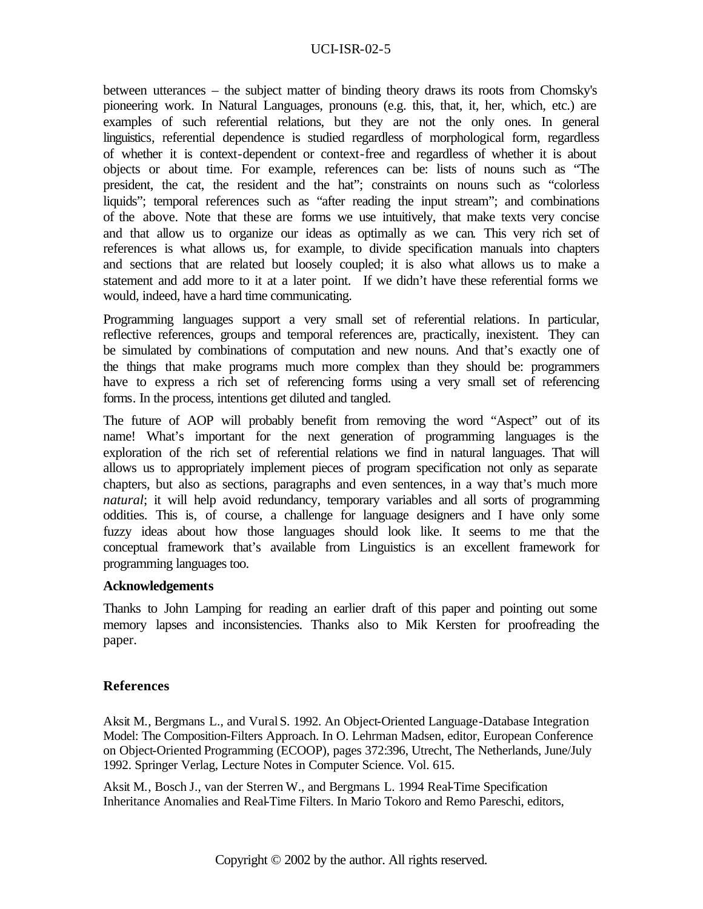between utterances – the subject matter of binding theory draws its roots from Chomsky's pioneering work. In Natural Languages, pronouns (e.g. this, that, it, her, which, etc.) are examples of such referential relations, but they are not the only ones. In general linguistics, referential dependence is studied regardless of morphological form, regardless of whether it is context-dependent or context-free and regardless of whether it is about objects or about time. For example, references can be: lists of nouns such as "The president, the cat, the resident and the hat"; constraints on nouns such as "colorless liquids"; temporal references such as "after reading the input stream"; and combinations of the above. Note that these are forms we use intuitively, that make texts very concise and that allow us to organize our ideas as optimally as we can. This very rich set of references is what allows us, for example, to divide specification manuals into chapters and sections that are related but loosely coupled; it is also what allows us to make a statement and add more to it at a later point. If we didn't have these referential forms we would, indeed, have a hard time communicating.

Programming languages support a very small set of referential relations. In particular, reflective references, groups and temporal references are, practically, inexistent. They can be simulated by combinations of computation and new nouns. And that's exactly one of the things that make programs much more complex than they should be: programmers have to express a rich set of referencing forms using a very small set of referencing forms. In the process, intentions get diluted and tangled.

The future of AOP will probably benefit from removing the word "Aspect" out of its name! What's important for the next generation of programming languages is the exploration of the rich set of referential relations we find in natural languages. That will allows us to appropriately implement pieces of program specification not only as separate chapters, but also as sections, paragraphs and even sentences, in a way that's much more *natural*; it will help avoid redundancy, temporary variables and all sorts of programming oddities. This is, of course, a challenge for language designers and I have only some fuzzy ideas about how those languages should look like. It seems to me that the conceptual framework that's available from Linguistics is an excellent framework for programming languages too.

#### **Acknowledgements**

Thanks to John Lamping for reading an earlier draft of this paper and pointing out some memory lapses and inconsistencies. Thanks also to Mik Kersten for proofreading the paper.

#### **References**

Aksit M., Bergmans L., and Vural S. 1992. An Object-Oriented Language-Database Integration Model: The Composition-Filters Approach. In O. Lehrman Madsen, editor, European Conference on Object-Oriented Programming (ECOOP), pages 372:396, Utrecht, The Netherlands, June/July 1992. Springer Verlag, Lecture Notes in Computer Science. Vol. 615.

Aksit M., Bosch J., van der Sterren W., and Bergmans L. 1994 Real-Time Specification Inheritance Anomalies and Real-Time Filters. In Mario Tokoro and Remo Pareschi, editors,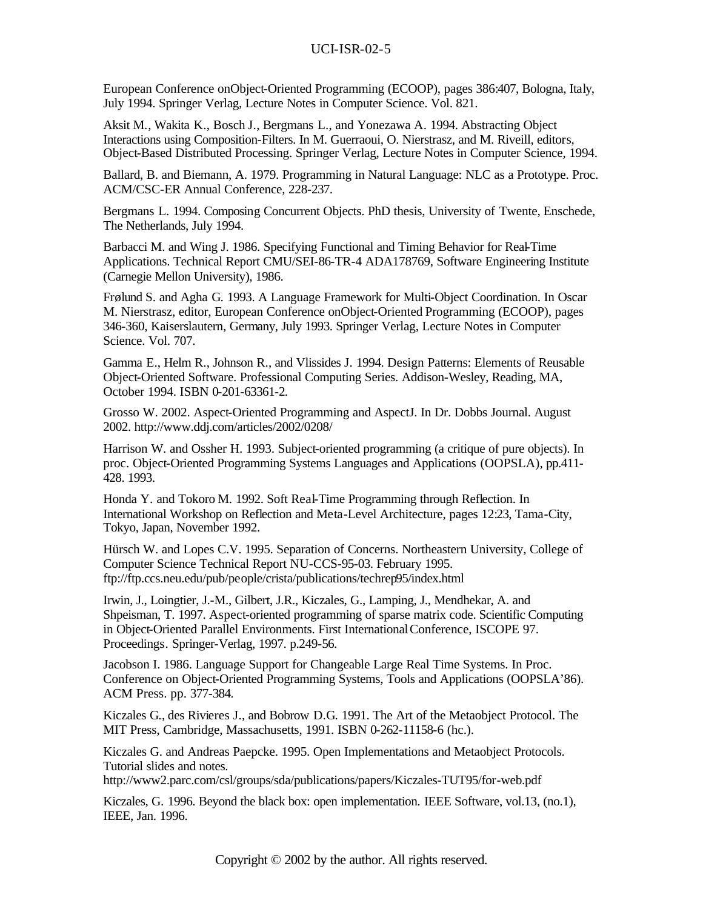European Conference onObject-Oriented Programming (ECOOP), pages 386:407, Bologna, Italy, July 1994. Springer Verlag, Lecture Notes in Computer Science. Vol. 821.

Aksit M., Wakita K., Bosch J., Bergmans L., and Yonezawa A. 1994. Abstracting Object Interactions using Composition-Filters. In M. Guerraoui, O. Nierstrasz, and M. Riveill, editors, Object-Based Distributed Processing. Springer Verlag, Lecture Notes in Computer Science, 1994.

Ballard, B. and Biemann, A. 1979. Programming in Natural Language: NLC as a Prototype. Proc. ACM/CSC-ER Annual Conference, 228-237.

Bergmans L. 1994. Composing Concurrent Objects. PhD thesis, University of Twente, Enschede, The Netherlands, July 1994.

Barbacci M. and Wing J. 1986. Specifying Functional and Timing Behavior for Real-Time Applications. Technical Report CMU/SEI-86-TR-4 ADA178769, Software Engineering Institute (Carnegie Mellon University), 1986.

Frølund S. and Agha G. 1993. A Language Framework for Multi-Object Coordination. In Oscar M. Nierstrasz, editor, European Conference onObject-Oriented Programming (ECOOP), pages 346-360, Kaiserslautern, Germany, July 1993. Springer Verlag, Lecture Notes in Computer Science. Vol. 707.

Gamma E., Helm R., Johnson R., and Vlissides J. 1994. Design Patterns: Elements of Reusable Object-Oriented Software. Professional Computing Series. Addison-Wesley, Reading, MA, October 1994. ISBN 0-201-63361-2.

Grosso W. 2002. Aspect-Oriented Programming and AspectJ. In Dr. Dobbs Journal. August 2002. http://www.ddj.com/articles/2002/0208/

Harrison W. and Ossher H. 1993. Subject-oriented programming (a critique of pure objects). In proc. Object-Oriented Programming Systems Languages and Applications (OOPSLA), pp.411- 428. 1993.

Honda Y. and Tokoro M. 1992. Soft Real-Time Programming through Reflection. In International Workshop on Reflection and Meta-Level Architecture, pages 12:23, Tama-City, Tokyo, Japan, November 1992.

Hürsch W. and Lopes C.V. 1995. Separation of Concerns. Northeastern University, College of Computer Science Technical Report NU-CCS-95-03. February 1995. ftp://ftp.ccs.neu.edu/pub/people/crista/publications/techrep95/index.html

Irwin, J., Loingtier, J.-M., Gilbert, J.R., Kiczales, G., Lamping, J., Mendhekar, A. and Shpeisman, T. 1997. Aspect-oriented programming of sparse matrix code. Scientific Computing in Object-Oriented Parallel Environments. First International Conference, ISCOPE 97. Proceedings. Springer-Verlag, 1997. p.249-56.

Jacobson I. 1986. Language Support for Changeable Large Real Time Systems. In Proc. Conference on Object-Oriented Programming Systems, Tools and Applications (OOPSLA'86). ACM Press. pp. 377-384.

Kiczales G., des Rivieres J., and Bobrow D.G. 1991. The Art of the Metaobject Protocol. The MIT Press, Cambridge, Massachusetts, 1991. ISBN 0-262-11158-6 (hc.).

Kiczales G. and Andreas Paepcke. 1995. Open Implementations and Metaobject Protocols. Tutorial slides and notes.

http://www2.parc.com/csl/groups/sda/publications/papers/Kiczales-TUT95/for-web.pdf

Kiczales, G. 1996. Beyond the black box: open implementation. IEEE Software, vol.13, (no.1), IEEE, Jan. 1996.

Copyright © 2002 by the author. All rights reserved.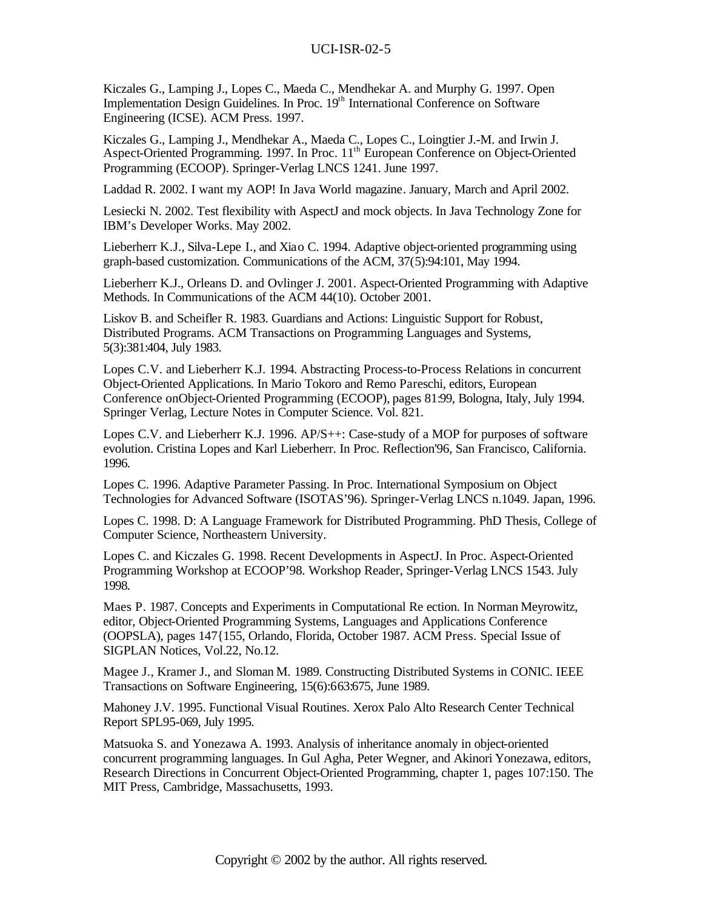Kiczales G., Lamping J., Lopes C., Maeda C., Mendhekar A. and Murphy G. 1997. Open Implementation Design Guidelines. In Proc. 19<sup>th</sup> International Conference on Software Engineering (ICSE). ACM Press. 1997.

Kiczales G., Lamping J., Mendhekar A., Maeda C., Lopes C., Loingtier J.-M. and Irwin J. Aspect-Oriented Programming. 1997. In Proc. 11<sup>th</sup> European Conference on Object-Oriented Programming (ECOOP). Springer-Verlag LNCS 1241. June 1997.

Laddad R. 2002. I want my AOP! In Java World magazine. January, March and April 2002.

Lesiecki N. 2002. Test flexibility with AspectJ and mock objects. In Java Technology Zone for IBM's Developer Works. May 2002.

Lieberherr K.J., Silva-Lepe I., and Xiao C. 1994. Adaptive object-oriented programming using graph-based customization. Communications of the ACM, 37(5):94:101, May 1994.

Lieberherr K.J., Orleans D. and Ovlinger J. 2001. Aspect-Oriented Programming with Adaptive Methods. In Communications of the ACM 44(10). October 2001.

Liskov B. and Scheifler R. 1983. Guardians and Actions: Linguistic Support for Robust, Distributed Programs. ACM Transactions on Programming Languages and Systems, 5(3):381:404, July 1983.

Lopes C.V. and Lieberherr K.J. 1994. Abstracting Process-to-Process Relations in concurrent Object-Oriented Applications. In Mario Tokoro and Remo Pareschi, editors, European Conference onObject-Oriented Programming (ECOOP), pages 81:99, Bologna, Italy, July 1994. Springer Verlag, Lecture Notes in Computer Science. Vol. 821.

Lopes C.V. and Lieberherr K.J. 1996. AP/S++: Case-study of a MOP for purposes of software evolution. Cristina Lopes and Karl Lieberherr. In Proc. Reflection'96, San Francisco, California. 1996.

Lopes C. 1996. Adaptive Parameter Passing. In Proc. International Symposium on Object Technologies for Advanced Software (ISOTAS'96). Springer-Verlag LNCS n.1049. Japan, 1996.

Lopes C. 1998. D: A Language Framework for Distributed Programming. PhD Thesis, College of Computer Science, Northeastern University.

Lopes C. and Kiczales G. 1998. Recent Developments in AspectJ. In Proc. Aspect-Oriented Programming Workshop at ECOOP'98. Workshop Reader, Springer-Verlag LNCS 1543. July 1998.

Maes P. 1987. Concepts and Experiments in Computational Re ection. In Norman Meyrowitz, editor, Object-Oriented Programming Systems, Languages and Applications Conference (OOPSLA), pages 147{155, Orlando, Florida, October 1987. ACM Press. Special Issue of SIGPLAN Notices, Vol.22, No.12.

Magee J., Kramer J., and Sloman M. 1989. Constructing Distributed Systems in CONIC. IEEE Transactions on Software Engineering, 15(6):663:675, June 1989.

Mahoney J.V. 1995. Functional Visual Routines. Xerox Palo Alto Research Center Technical Report SPL95-069, July 1995.

Matsuoka S. and Yonezawa A. 1993. Analysis of inheritance anomaly in object-oriented concurrent programming languages. In Gul Agha, Peter Wegner, and Akinori Yonezawa, editors, Research Directions in Concurrent Object-Oriented Programming, chapter 1, pages 107:150. The MIT Press, Cambridge, Massachusetts, 1993.